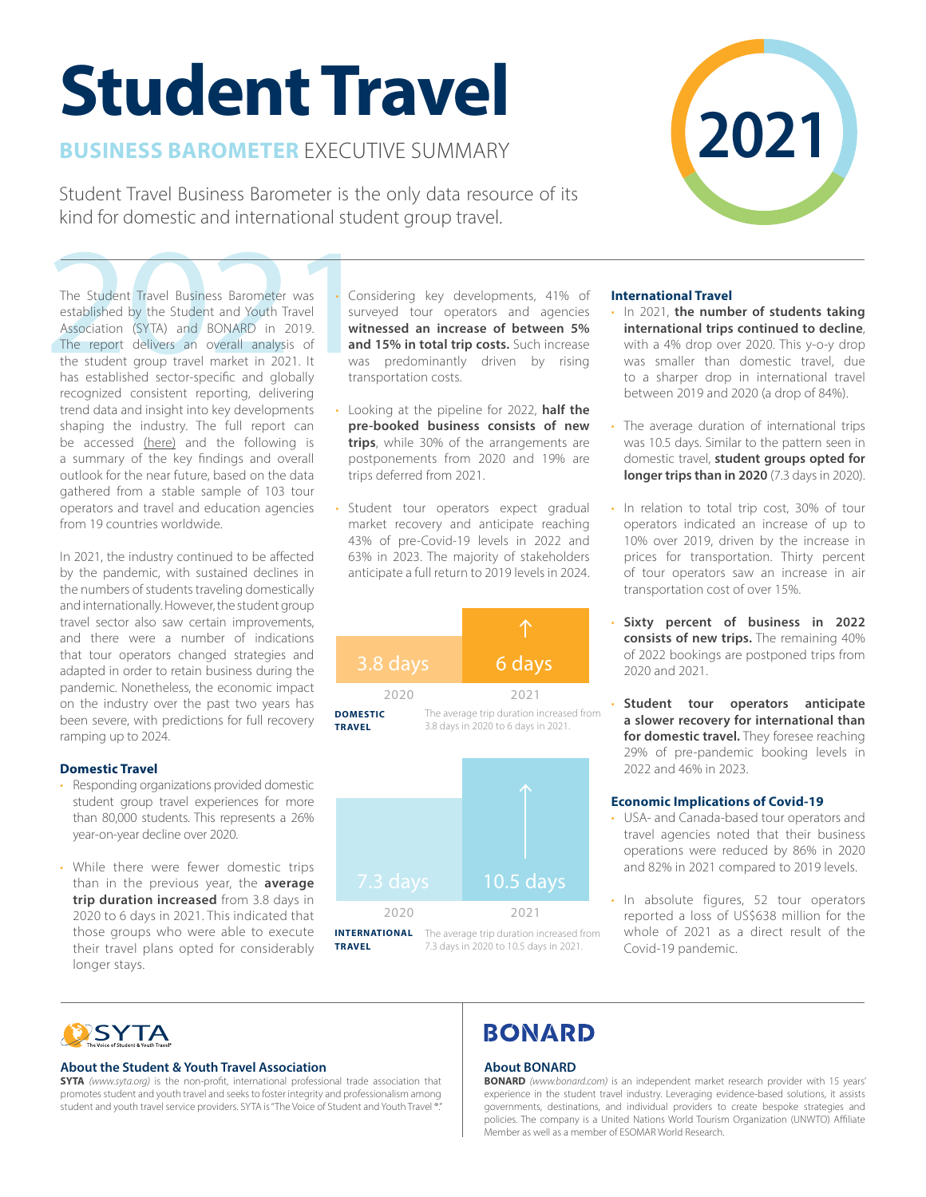# **Student Travel**

# **BUSINESS BAROMETER** EXECUTIVE SUMMARY

Student Travel Business Barometer is the only data resource of its kind for domestic and international student group travel.

The Student Travel Business Barometer was<br>
established by the Student and Youth Travel<br>
Association (SYTA) and BONARD in 2019.<br>
The report delivers an overall analysis of<br>
the student group travel market in 2021. It was<br>
h The Student Travel Business Barometer was established by the Student and Youth Travel Association (SYTA) and BONARD in 2019. The report delivers an overall analysis of the student group travel market in 2021. It has established sector-specific and globally recognized consistent reporting, delivering trend data and insight into key developments shaping the industry. The full report can be accessed [\(here\)](https://syta.org/wp-content/uploads/2022/05/2021-Student-Travel-Business-Barometer.pdf) and the following is a summary of the key findings and overall outlook for the near future, based on the data gathered from a stable sample of 103 tour operators and travel and education agencies from 19 countries worldwide.

In 2021, the industry continued to be affected by the pandemic, with sustained declines in the numbers of students traveling domestically and internationally. However, the student group travel sector also saw certain improvements, and there were a number of indications that tour operators changed strategies and adapted in order to retain business during the pandemic. Nonetheless, the economic impact on the industry over the past two years has been severe, with predictions for full recovery ramping up to 2024.

# **Domestic Travel**

- Responding organizations provided domestic student group travel experiences for more than 80,000 students. This represents a 26% year-on-year decline over 2020.
- While there were fewer domestic trips than in the previous year, the **average trip duration increased** from 3.8 days in 2020 to 6 days in 2021. This indicated that those groups who were able to execute their travel plans opted for considerably longer stays.
- Considering key developments, 41% of surveyed tour operators and agencies **witnessed an increase of between 5% and 15% in total trip costs.** Such increase was predominantly driven by rising transportation costs.
- Looking at the pipeline for 2022, **half the pre-booked business consists of new trips**, while 30% of the arrangements are postponements from 2020 and 19% are trips deferred from 2021.
- Student tour operators expect gradual market recovery and anticipate reaching 43% of pre-Covid-19 levels in 2022 and 63% in 2023. The majority of stakeholders anticipate a full return to 2019 levels in 2024.





# **International Travel**

- In 2021, **the number of students taking international trips continued to decline**, with a 4% drop over 2020. This y-o-y drop was smaller than domestic travel, due to a sharper drop in international travel between 2019 and 2020 (a drop of 84%).
- The average duration of international trips was 10.5 days. Similar to the pattern seen in domestic travel, **student groups opted for longer trips than in 2020** (7.3 days in 2020).
- In relation to total trip cost, 30% of tour operators indicated an increase of up to 10% over 2019, driven by the increase in prices for transportation. Thirty percent of tour operators saw an increase in air transportation cost of over 15%.
- **Sixty percent of business in 2022 consists of new trips.** The remaining 40% of 2022 bookings are postponed trips from 2020 and 2021.
- **Student tour operators anticipate a slower recovery for international than**  for domestic travel. They foresee reaching 29% of pre-pandemic booking levels in 2022 and 46% in 2023.

# **Economic Implications of Covid-19**

- USA- and Canada-based tour operators and travel agencies noted that their business operations were reduced by 86% in 2020 and 82% in 2021 compared to 2019 levels.
- In absolute figures, 52 tour operators reported a loss of US\$638 million for the whole of 2021 as a direct result of the Covid-19 pandemic.

# **SYTA**

### **About the Student & Youth Travel Association**

**SYTA** *(www.syta.org)* is the non-profit, international professional trade association that promotes student and youth travel and seeks to foster integrity and professionalism among student and youth travel service providers. SYTA is "The Voice of Student and Youth Travel ®.

# **BONARD**

### **About BONARD**

**BONARD** *(www.bonard.com)* is an independent market research provider with 15 years' experience in the student travel industry. Leveraging evidence-based solutions, it assists governments, destinations, and individual providers to create bespoke strategies and policies. The company is a United Nations World Tourism Organization (UNWTO) Affiliate Member as well as a member of ESOMAR World Research.